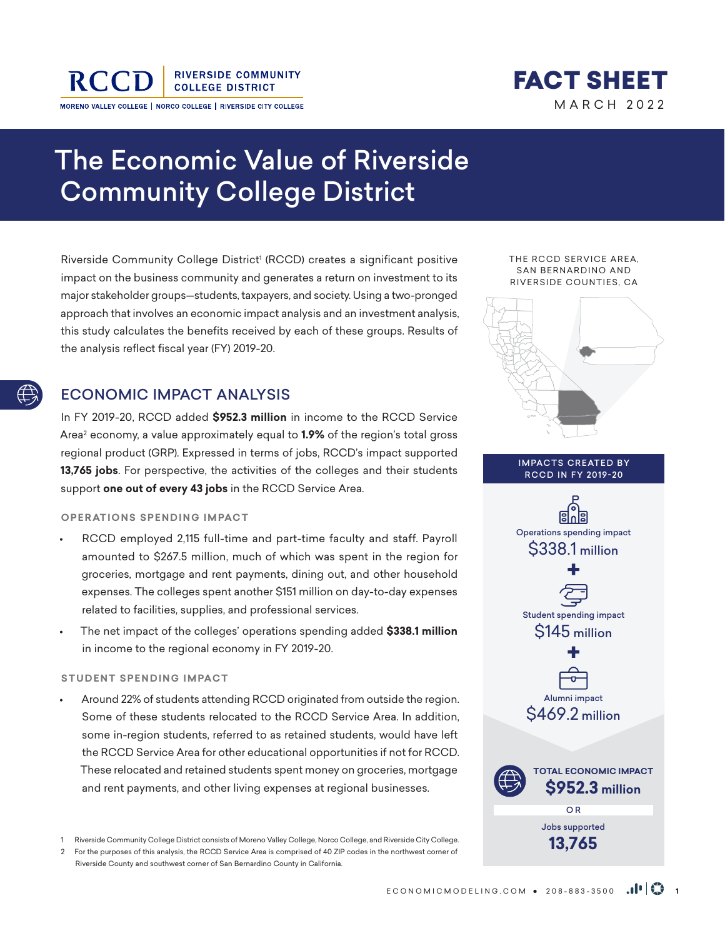

**RIVERSIDE COMMUNITY COLLEGE DISTRICT** 

MORENO VALLEY COLLEGE | NORCO COLLEGE | RIVERSIDE CITY COLLEGE



# The Economic Value of Riverside Community College District

Riverside Community College District' (RCCD) creates a significant positive impact on the business community and generates a return on investment to its major stakeholder groups—students, taxpayers, and society. Using a two-pronged approach that involves an economic impact analysis and an investment analysis, this study calculates the benefits received by each of these groups. Results of the analysis reflect fiscal year (FY) 2019-20.

## ECONOMIC IMPACT ANALYSIS

In FY 2019-20, RCCD added **\$952.3 million** in income to the RCCD Service Area2 economy, a value approximately equal to **1.9%** of the region's total gross regional product (GRP). Expressed in terms of jobs, RCCD's impact supported **13,765 jobs**. For perspective, the activities of the colleges and their students support **one out of every 43 jobs** in the RCCD Service Area.

**OPERATIONS SPENDING IMPACT** 

- RCCD employed 2,115 full-time and part-time faculty and staff. Payroll amounted to \$267.5 million, much of which was spent in the region for groceries, mortgage and rent payments, dining out, and other household expenses. The colleges spent another \$151 million on day-to-day expenses related to facilities, supplies, and professional services.
- The net impact of the colleges' operations spending added **\$338.1 million** in income to the regional economy in FY 2019-20.

#### **STUDENT SPENDING IMPACT**

• Around 22% of students attending RCCD originated from outside the region. Some of these students relocated to the RCCD Service Area. In addition, some in-region students, referred to as retained students, would have left the RCCD Service Area for other educational opportunities if not for RCCD. These relocated and retained students spent money on groceries, mortgage and rent payments, and other living expenses at regional businesses.

1 Riverside Community College District consists of Moreno Valley College, Norco College, and Riverside City College.

2 For the purposes of this analysis, the RCCD Service Area is comprised of 40 ZIP codes in the northwest corner of Riverside County and southwest corner of San Bernardino County in California.

THE RCCD SERVICE AREA, SAN BERNARDINO AND RIVERSIDE COUNTIES, CA



IMPACTS CREATED BY RCCD IN FY 2019-20



Jobs supported **13,765**

ECONOMICMODELING.COM • 208-883-3500 **<sup>1</sup>**